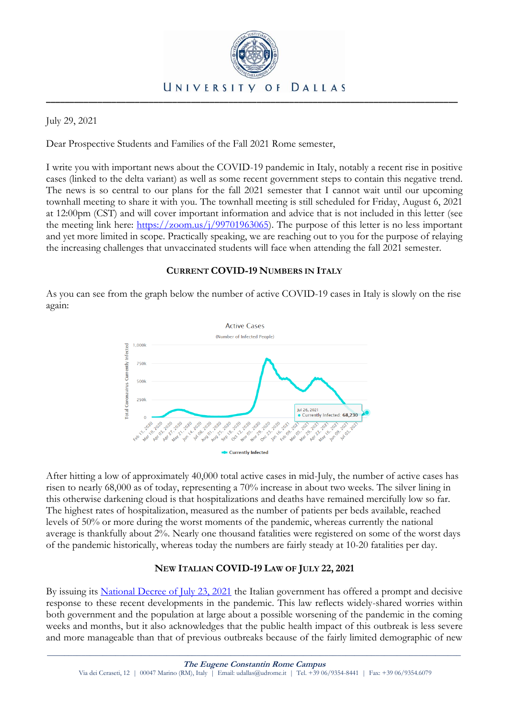

July 29, 2021

Dear Prospective Students and Families of the Fall 2021 Rome semester,

I write you with important news about the COVID-19 pandemic in Italy, notably a recent rise in positive cases (linked to the delta variant) as well as some recent government steps to contain this negative trend. The news is so central to our plans for the fall 2021 semester that I cannot wait until our upcoming townhall meeting to share it with you. The townhall meeting is still scheduled for Friday, August 6, 2021 at 12:00pm (CST) and will cover important information and advice that is not included in this letter (see the meeting link here: [https://zoom.us/j/99701963065\)](https://zoom.us/j/99701963065). The purpose of this letter is no less important and yet more limited in scope. Practically speaking, we are reaching out to you for the purpose of relaying the increasing challenges that unvaccinated students will face when attending the fall 2021 semester.

## **CURRENT COVID-19 NUMBERS IN ITALY**

As you can see from the graph below the number of active COVID-19 cases in Italy is slowly on the rise again:



After hitting a low of approximately 40,000 total active cases in mid-July, the number of active cases has risen to nearly 68,000 as of today, representing a 70% increase in about two weeks. The silver lining in this otherwise darkening cloud is that hospitalizations and deaths have remained mercifully low so far. The highest rates of hospitalization, measured as the number of patients per beds available, reached levels of 50% or more during the worst moments of the pandemic, whereas currently the national average is thankfully about 2%. Nearly one thousand fatalities were registered on some of the worst days of the pandemic historically, whereas today the numbers are fairly steady at 10-20 fatalities per day.

# **NEW ITALIAN COVID-19 LAW OF JULY 22, 2021**

By issuing its [National Decree of July 23, 2021](https://www.trovanorme.salute.gov.it/norme/dettaglioAtto?id=81820) the Italian government has offered a prompt and decisive response to these recent developments in the pandemic. This law reflects widely-shared worries within both government and the population at large about a possible worsening of the pandemic in the coming weeks and months, but it also acknowledges that the public health impact of this outbreak is less severe and more manageable than that of previous outbreaks because of the fairly limited demographic of new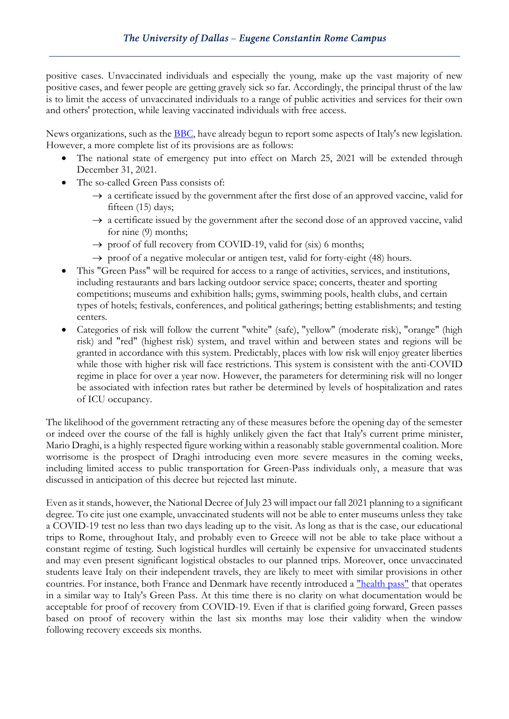positive cases. Unvaccinated individuals and especially the young, make up the vast majority of new positive cases, and fewer people are getting gravely sick so far. Accordingly, the principal thrust of the law is to limit the access of unvaccinated individuals to a range of public activities and services for their own and others' protection, while leaving vaccinated individuals with free access.

News organizations, such as the **BBC**, have already begun to report some aspects of Italy's new legislation. However, a more complete list of its provisions are as follows:

- The national state of emergency put into effect on March 25, 2021 will be extended through December 31, 2021.
- The so-called Green Pass consists of:
	- $\rightarrow$  a certificate issued by the government after the first dose of an approved vaccine, valid for fifteen (15) days;
	- $\rightarrow$  a certificate issued by the government after the second dose of an approved vaccine, valid for nine (9) months;
	- $\rightarrow$  proof of full recovery from COVID-19, valid for (six) 6 months;
	- $\rightarrow$  proof of a negative molecular or antigen test, valid for forty-eight (48) hours.
- This "Green Pass" will be required for access to a range of activities, services, and institutions, including restaurants and bars lacking outdoor service space; concerts, theater and sporting competitions; museums and exhibition halls; gyms, swimming pools, health clubs, and certain types of hotels; festivals, conferences, and political gatherings; betting establishments; and testing centers.
- Categories of risk will follow the current "white" (safe), "yellow" (moderate risk), "orange" (high risk) and "red" (highest risk) system, and travel within and between states and regions will be granted in accordance with this system. Predictably, places with low risk will enjoy greater liberties while those with higher risk will face restrictions. This system is consistent with the anti-COVID regime in place for over a year now. However, the parameters for determining risk will no longer be associated with infection rates but rather be determined by levels of hospitalization and rates of ICU occupancy.

The likelihood of the government retracting any of these measures before the opening day of the semester or indeed over the course of the fall is highly unlikely given the fact that Italy's current prime minister, Mario Draghi, is a highly respected figure working within a reasonably stable governmental coalition. More worrisome is the prospect of Draghi introducing even more severe measures in the coming weeks, including limited access to public transportation for Green-Pass individuals only, a measure that was discussed in anticipation of this decree but rejected last minute.

Even as it stands, however, the National Decree of July 23 will impact our fall 2021 planning to a significant degree. To cite just one example, unvaccinated students will not be able to enter museums unless they take a COVID-19 test no less than two days leading up to the visit. As long as that is the case, our educational trips to Rome, throughout Italy, and probably even to Greece will not be able to take place without a constant regime of testing. Such logistical hurdles will certainly be expensive for unvaccinated students and may even present significant logistical obstacles to our planned trips. Moreover, once unvaccinated students leave Italy on their independent travels, they are likely to meet with similar provisions in other countries. For instance, both France and Denmark have recently introduced a ["health pass"](https://www.france24.com/en/europe/20210716-as-france-extends-use-of-covid-health-pass-what-are-its-eu-neighbours-doing) that operates in a similar way to Italy's Green Pass. At this time there is no clarity on what documentation would be acceptable for proof of recovery from COVID-19. Even if that is clarified going forward, Green passes based on proof of recovery within the last six months may lose their validity when the window following recovery exceeds six months.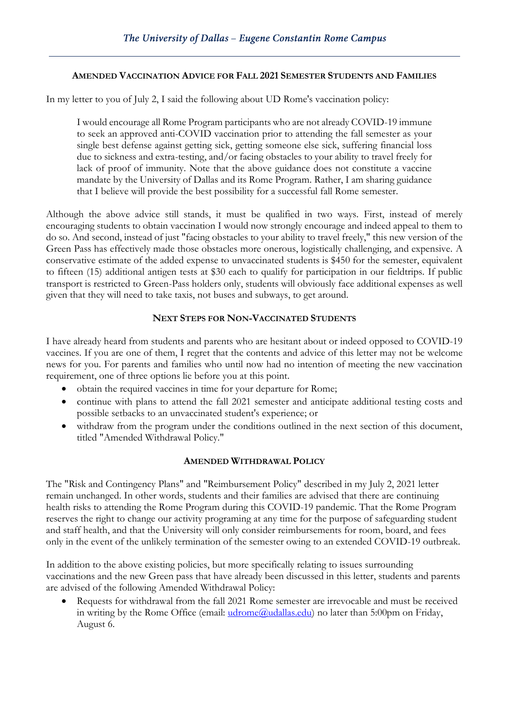### **AMENDED VACCINATION ADVICE FOR FALL 2021 SEMESTER STUDENTS AND FAMILIES**

In my letter to you of July 2, I said the following about UD Rome's vaccination policy:

I would encourage all Rome Program participants who are not already COVID-19 immune to seek an approved anti-COVID vaccination prior to attending the fall semester as your single best defense against getting sick, getting someone else sick, suffering financial loss due to sickness and extra-testing, and/or facing obstacles to your ability to travel freely for lack of proof of immunity. Note that the above guidance does not constitute a vaccine mandate by the University of Dallas and its Rome Program. Rather, I am sharing guidance that I believe will provide the best possibility for a successful fall Rome semester.

Although the above advice still stands, it must be qualified in two ways. First, instead of merely encouraging students to obtain vaccination I would now strongly encourage and indeed appeal to them to do so. And second, instead of just "facing obstacles to your ability to travel freely," this new version of the Green Pass has effectively made those obstacles more onerous, logistically challenging, and expensive. A conservative estimate of the added expense to unvaccinated students is \$450 for the semester, equivalent to fifteen (15) additional antigen tests at \$30 each to qualify for participation in our fieldtrips. If public transport is restricted to Green-Pass holders only, students will obviously face additional expenses as well given that they will need to take taxis, not buses and subways, to get around.

#### **NEXT STEPS FOR NON-VACCINATED STUDENTS**

I have already heard from students and parents who are hesitant about or indeed opposed to COVID-19 vaccines. If you are one of them, I regret that the contents and advice of this letter may not be welcome news for you. For parents and families who until now had no intention of meeting the new vaccination requirement, one of three options lie before you at this point.

- obtain the required vaccines in time for your departure for Rome;
- continue with plans to attend the fall 2021 semester and anticipate additional testing costs and possible setbacks to an unvaccinated student's experience; or
- withdraw from the program under the conditions outlined in the next section of this document, titled "Amended Withdrawal Policy."

## **AMENDED WITHDRAWAL POLICY**

The "Risk and Contingency Plans" and "Reimbursement Policy" described in my July 2, 2021 letter remain unchanged. In other words, students and their families are advised that there are continuing health risks to attending the Rome Program during this COVID-19 pandemic. That the Rome Program reserves the right to change our activity programing at any time for the purpose of safeguarding student and staff health, and that the University will only consider reimbursements for room, board, and fees only in the event of the unlikely termination of the semester owing to an extended COVID-19 outbreak.

In addition to the above existing policies, but more specifically relating to issues surrounding vaccinations and the new Green pass that have already been discussed in this letter, students and parents are advised of the following Amended Withdrawal Policy:

• Requests for withdrawal from the fall 2021 Rome semester are irrevocable and must be received in writing by the Rome Office (email:  $udrome@uidalas.edu$ ) no later than 5:00pm on Friday,</u> August 6.